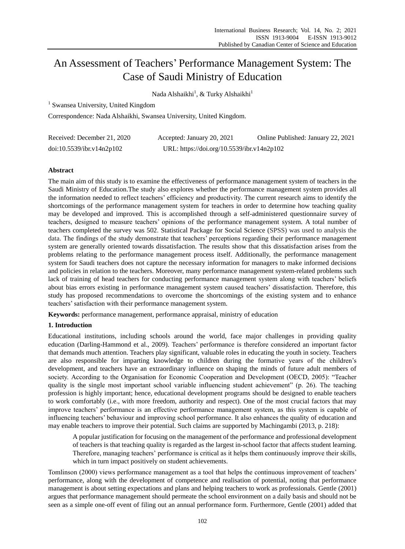# An Assessment of Teachers' Performance Management System: The Case of Saudi Ministry of Education

Nada Alshaikhi<sup>1</sup>, & Turky Alshaikhi<sup>1</sup>

<sup>1</sup> Swansea University, United Kingdom

Correspondence: Nada Alshaikhi, Swansea University, United Kingdom.

| Received: December 21, 2020 | Accepted: January 20, 2021                 | Online Published: January 22, 2021 |
|-----------------------------|--------------------------------------------|------------------------------------|
| doi:10.5539/ibr.v14n2p102   | URL: https://doi.org/10.5539/ibr.v14n2p102 |                                    |

# **Abstract**

The main aim of this study is to examine the effectiveness of performance management system of teachers in the Saudi Ministry of Education.The study also explores whether the performance management system provides all the information needed to reflect teachers' efficiency and productivity. The current research aims to identify the shortcomings of the performance management system for teachers in order to determine how teaching quality may be developed and improved. This is accomplished through a self-administered questionnaire survey of teachers, designed to measure teachers' opinions of the performance management system. A total number of teachers completed the survey was 502. Statistical Package for Social Science (SPSS) was used to analysis the data. The findings of the study demonstrate that teachers' perceptions regarding their performance management system are generally oriented towards dissatisfaction. The results show that this dissatisfaction arises from the problems relating to the performance management process itself. Additionally, the performance management system for Saudi teachers does not capture the necessary information for managers to make informed decisions and policies in relation to the teachers. Moreover, many performance management system-related problems such lack of training of head teachers for conducting performance management system along with teachers' beliefs about bias errors existing in performance management system caused teachers' dissatisfaction. Therefore, this study has proposed recommendations to overcome the shortcomings of the existing system and to enhance teachers' satisfaction with their performance management system.

**Keywords:** performance management, performance appraisal, ministry of education

# **1. Introduction**

Educational institutions, including schools around the world, face major challenges in providing quality education (Darling-Hammond et al., 2009). Teachers' performance is therefore considered an important factor that demands much attention. Teachers play significant, valuable roles in educating the youth in society. Teachers are also responsible for imparting knowledge to children during the formative years of the children's development, and teachers have an extraordinary influence on shaping the minds of future adult members of society. According to the Organisation for Economic Cooperation and Development (OECD, 2005): "Teacher quality is the single most important school variable influencing student achievement" (p. 26). The teaching profession is highly important; hence, educational development programs should be designed to enable teachers to work comfortably (i.e., with more freedom, authority and respect). One of the most crucial factors that may improve teachers' performance is an effective performance management system, as this system is capable of influencing teachers' behaviour and improving school performance. It also enhances the quality of education and may enable teachers to improve their potential. Such claims are supported by Machingambi (2013, p. 218):

A popular justification for focusing on the management of the performance and professional development of teachers is that teaching quality is regarded as the largest in-school factor that affects student learning. Therefore, managing teachers' performance is critical as it helps them continuously improve their skills, which in turn impact positively on student achievements.

Tomlinson (2000) views performance management as a tool that helps the continuous improvement of teachers' performance, along with the development of competence and realisation of potential, noting that performance management is about setting expectations and plans and helping teachers to work as professionals. Gentle (2001) argues that performance management should permeate the school environment on a daily basis and should not be seen as a simple one-off event of filing out an annual performance form. Furthermore, Gentle (2001) added that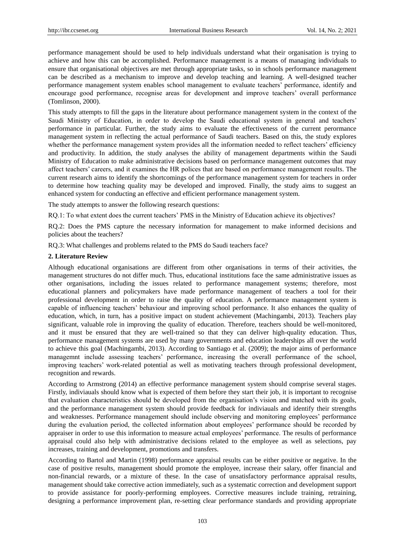performance management should be used to help individuals understand what their organisation is trying to achieve and how this can be accomplished. Performance management is a means of managing individuals to ensure that organisational objectives are met through appropriate tasks, so in schools performance management can be described as a mechanism to improve and develop teaching and learning. A well-designed teacher performance management system enables school management to evaluate teachers' performance, identify and encourage good performance, recognise areas for development and improve teachers' overall performance (Tomlinson, 2000).

This study attempts to fill the gaps in the literature about performance management system in the context of the Saudi Ministry of Education, in order to develop the Saudi educational system in general and teachers' performance in particular. Further, the study aims to evaluate the effectiveness of the current perormance management system in reflecting the actual performance of Saudi teachers. Based on this, the study explores whether the performance management system provides all the information needed to reflect teachers' efficiency and productivity. In addition, the study analyses the ability of management departments within the Saudi Ministry of Education to make administrative decisions based on performance management outcomes that may affect teachers' careers, and it examines the HR polices that are based on performance management results. The current research aims to identify the shortcomings of the performance management system for teachers in order to determine how teaching quality may be developed and improved. Finally, the study aims to suggest an enhanced system for conducting an effective and efficient performance management system.

The study attempts to answer the following research questions:

RQ.1: To what extent does the current teachers' PMS in the Ministry of Education achieve its objectives?

RQ.2: Does the PMS capture the necessary information for management to make informed decisions and policies about the teachers?

RQ.3: What challenges and problems related to the PMS do Saudi teachers face?

## **2. Literature Review**

Although educational organisations are different from other organisations in terms of their activities, the management structures do not differ much. Thus, educational institutions face the same administrative issues as other organisations, including the issues related to performance management systems; therefore, most educational planners and policymakers have made performance management of teachers a tool for their professional development in order to raise the quality of education. A performance management system is capable of influencing teachers' behaviour and improving school performance. It also enhances the quality of education, which, in turn, has a positive impact on student achievement (Machingambi, 2013). Teachers play significant, valuable role in improving the quality of education. Therefore, teachers should be well-monitored, and it must be ensured that they are well-trained so that they can deliver high-quality education. Thus, performance management systems are used by many governments and education leaderships all over the world to achieve this goal (Machingambi, 2013). According to Santiago et al. (2009); the major aims of performance managemnt include assessing teachers' performance, increasing the overall performance of the school, improving teachers' work-related potential as well as motivating teachers through professional development, recognition and rewards.

According to Armstrong (2014) an effective performance management system should comprise several stages. Firstly, indiviauals should know what is expected of them before they start their job, it is important to recognise that evaluation characteristics should be developed from the organisation's vision and matched with its goals, and the performance management system should provide feedback for indiviauals and identify their strengths and weaknesses. Performance management should include observing and monitoring employees' performance during the evaluation period, the collected information about employees' performance should be recorded by appraiser in order to use this information to measure actual employees' performance. The results of performance appraisal could also help with administrative decisions related to the employee as well as selections, pay increases, training and development, promotions and transfers.

According to Bartol and Martin (1998) performance appraisal results can be either positive or negative. In the case of positive results, management should promote the employee, increase their salary, offer financial and non-financial rewards, or a mixture of these. In the case of unsatisfactory performance appraisal results, management should take corrective action immediately, such as a systematic correction and development support to provide assistance for poorly-performing employees. Corrective measures include training, retraining, designing a performance improvement plan, re-setting clear performance standards and providing appropriate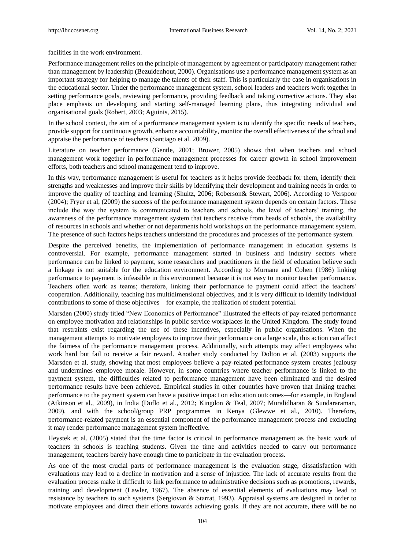facilities in the work environment.

Performance management relies on the principle of management by agreement or participatory management rather than management by leadership (Bezuidenhout, 2000). Organisations use a performance management system as an important strategy for helping to manage the talents of their staff. This is particularly the case in organisations in the educational sector. Under the performance management system, school leaders and teachers work together in setting performance goals, reviewing performance, providing feedback and taking corrective actions. They also place emphasis on developing and starting self-managed learning plans, thus integrating individual and organisational goals (Robert, 2003; Aguinis, 2015).

In the school context, the aim of a performance management system is to identify the specific needs of teachers, provide support for continuous growth, enhance accountability, monitor the overall effectiveness of the school and appraise the performance of teachers (Santiago et al. 2009).

Literature on teacher performance (Gentle, 2001; Brower, 2005) shows that when teachers and school management work together in performance management processes for career growth in school improvement efforts, both teachers and school management tend to improve.

In this way, performance management is useful for teachers as it helps provide feedback for them, identify their strengths and weaknesses and improve their skills by identifying their development and training needs in order to improve the quality of teaching and learning (Shultz, 2006; Roberson& Stewart, 2006). According to Verspoor (2004); Fryer et al, (2009) the success of the performance management system depends on certain factors. These include the way the system is communicated to teachers and schools, the level of teachers' training, the awareness of the performance management system that teachers receive from heads of schools, the availability of resources in schools and whether or not departments hold workshops on the performance management system. The presence of such factors helps teachers understand the procedures and processes of the performance system.

Despite the perceived benefits, the implementation of performance management in education systems is controversial. For example, performance management started in business and industry sectors where performance can be linked to payment, some researchers and practitioners in the field of education believe such a linkage is not suitable for the education environment. According to Murnane and Cohen (1986) linking performance to payment is infeasible in this environment because it is not easy to monitor teacher performance. Teachers often work as teams; therefore, linking their performance to payment could affect the teachers' cooperation. Additionally, teaching has multidimensional objectives, and it is very difficult to identify individual contributions to some of these objectives—for example, the realization of student potential.

Marsden (2000) study titled "New Economics of Performance" illustrated the effects of pay-related performance on employee motivation and relationships in public service workplaces in the United Kingdom. The study found that restraints exist regarding the use of these incentives, especially in public organisations. When the management attempts to motivate employees to improve their performance on a large scale, this action can affect the fairness of the performance management process. Additionally, such attempts may affect employees who work hard but fail to receive a fair reward. Another study conducted by Dolton et al. (2003) supports the Marsden et al. study, showing that most employees believe a pay-related performance system creates jealousy and undermines employee morale. However, in some countries where teacher performance is linked to the payment system, the difficulties related to performance management have been eliminated and the desired performance results have been achieved. Empirical studies in other countries have proven that linking teacher performance to the payment system can have a positive impact on education outcomes—for example, in England (Atkinson et al., 2009), in India (Duflo et al., 2012; Kingdon & Teal, 2007; Muralidharan & Sundararaman, 2009), and with the school/group PRP programmes in Kenya (Glewwe et al., 2010). Therefore, performance-related payment is an essential component of the performance management process and excluding it may render performance management system ineffective.

Heystek et al. (2005) stated that the time factor is critical in performance management as the basic work of teachers in schools is teaching students. Given the time and activities needed to carry out performance management, teachers barely have enough time to participate in the evaluation process.

As one of the most crucial parts of performance management is the evaluation stage, dissatisfaction with evaluations may lead to a decline in motivation and a sense of injustice. The lack of accurate results from the evaluation process make it difficult to link performance to administrative decisions such as promotions, rewards, training and development (Lawler, 1967). The absence of essential elements of evaluations may lead to resistance by teachers to such systems (Sergiovan & Starrat, 1993). Appraisal systems are designed in order to motivate employees and direct their efforts towards achieving goals. If they are not accurate, there will be no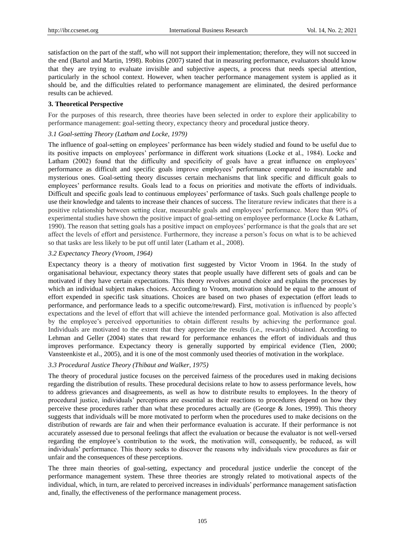satisfaction on the part of the staff, who will not support their implementation; therefore, they will not succeed in the end (Bartol and Martin, 1998). Robins (2007) stated that in measuring performance, evaluators should know that they are trying to evaluate invisible and subjective aspects, a process that needs special attention, particularly in the school context. However, when teacher performance management system is applied as it should be, and the difficulties related to performance management are eliminated, the desired performance results can be achieved.

## **3. Theoretical Perspective**

For the purposes of this research, three theories have been selected in order to explore their applicability to performance management: goal-setting theory, expectancy theory and procedural justice theory.

## *3.1 Goal-setting Theory (Latham and Locke, 1979)*

The influence of goal-setting on employees' performance has been widely studied and found to be useful due to its positive impacts on employees' performance in different work situations (Locke et al., 1984). Locke and Latham (2002) found that the difficulty and specificity of goals have a great influence on employees' performance as difficult and specific goals improve employees' performance compared to inscrutable and mysterious ones. Goal-setting theory discusses certain mechanisms that link specific and difficult goals to employees' performance results. Goals lead to a focus on priorities and motivate the efforts of individuals. Difficult and specific goals lead to continuous employees' performance of tasks. Such goals challenge people to use their knowledge and talents to increase their chances of success. The literature review indicates that there is a positive relationship between setting clear, measurable goals and employees' performance. More than 90% of experimental studies have shown the positive impact of goal-setting on employee performance (Locke & Latham, 1990). The reason that setting goals has a positive impact on employees' performance is that the goals that are set affect the levels of effort and persistence. Furthermore, they increase a person's focus on what is to be achieved so that tasks are less likely to be put off until later (Latham et al., 2008).

#### *3.2 Expectancy Theory (Vroom, 1964)*

Expectancy theory is a theory of motivation first suggested by Victor Vroom in 1964. In the study of organisational behaviour, expectancy theory states that people usually have different sets of goals and can be motivated if they have certain expectations. This theory revolves around choice and explains the processes by which an individual subject makes choices. According to Vroom, motivation should be equal to the amount of effort expended in specific task situations. Choices are based on two phases of expectation (effort leads to performance, and performance leads to a specific outcome/reward). First, motivation is influenced by people's expectations and the level of effort that will achieve the intended performance goal. Motivation is also affected by the employee's perceived opportunities to obtain different results by achieving the performance goal. Individuals are motivated to the extent that they appreciate the results (i.e., rewards) obtained. According to Lehman and Geller (2004) states that reward for performance enhances the effort of individuals and thus improves performance. Expectancy theory is generally supported by empirical evidence (Tien, 2000; Vansteenkiste et al., 2005), and it is one of the most commonly used theories of motivation in the workplace.

## *3.3 Procedural Justice Theory (Thibaut and Walker, 1975)*

The theory of procedural justice focuses on the perceived fairness of the procedures used in making decisions regarding the distribution of results. These procedural decisions relate to how to assess performance levels, how to address grievances and disagreements, as well as how to distribute results to employees. In the theory of procedural justice, individuals' perceptions are essential as their reactions to procedures depend on how they perceive these procedures rather than what these procedures actually are (George & Jones, 1999). This theory suggests that individuals will be more motivated to perform when the procedures used to make decisions on the distribution of rewards are fair and when their performance evaluation is accurate. If their performance is not accurately assessed due to personal feelings that affect the evaluation or because the evaluator is not well-versed regarding the employee's contribution to the work, the motivation will, consequently, be reduced, as will individuals' performance. This theory seeks to discover the reasons why individuals view procedures as fair or unfair and the consequences of these perceptions.

The three main theories of goal-setting, expectancy and procedural justice underlie the concept of the performance management system. These three theories are strongly related to motivational aspects of the individual, which, in turn, are related to perceived increases in individuals' performance management satisfaction and, finally, the effectiveness of the performance management process.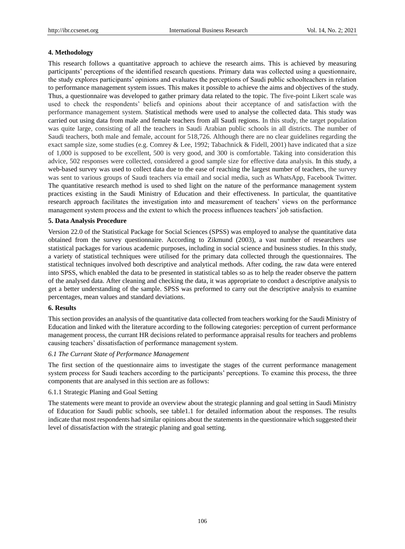## **4. Methodology**

This research follows a quantitative approach to achieve the research aims. This is achieved by measuring participants' perceptions of the identified research questions. Primary data was collected using a questionnaire, the study explores participants' opinions and evaluates the perceptions of Saudi public schoolteachers in relation to performance management system issues. This makes it possible to achieve the aims and objectives of the study. Thus, a questionnaire was developed to gather primary data related to the topic. The five-point Likert scale was used to check the respondents' beliefs and opinions about their acceptance of and satisfaction with the performance management system. Statistical methods were used to analyse the collected data. This study was carried out using data from male and female teachers from all Saudi regions. In this study, the target population was quite large, consisting of all the teachers in Saudi Arabian public schools in all districts. The number of Saudi teachers, both male and female, account for 518,726. Although there are no clear guidelines regarding the exact sample size, some studies (e.g. Comrey & Lee, 1992; Tabachnick & Fidell, 2001) have indicated that a size of 1,000 is supposed to be excellent, 500 is very good, and 300 is comfortable. Taking into consideration this advice, 502 responses were collected, considered a good sample size for effective data analysis. In this study, a web-based survey was used to collect data due to the ease of reaching the largest number of teachers, the survey was sent to various groups of Saudi teachers via email and social media, such as WhatsApp, Facebook Twitter. The quantitative research method is used to shed light on the nature of the performance management system practices existing in the Saudi Ministry of Education and their effectiveness. In particular, the quantitative research approach facilitates the investigation into and measurement of teachers' views on the performance management system process and the extent to which the process influences teachers' job satisfaction.

## **5. Data Analysis Procedure**

Version 22.0 of the Statistical Package for Social Sciences (SPSS) was employed to analyse the quantitative data obtained from the survey questionnaire. According to Zikmund (2003), a vast number of researchers use statistical packages for various academic purposes, including in social science and business studies. In this study, a variety of statistical techniques were utilised for the primary data collected through the questionnaires. The statistical techniques involved both descriptive and analytical methods. After coding, the raw data were entered into SPSS, which enabled the data to be presented in statistical tables so as to help the reader observe the pattern of the analysed data. After cleaning and checking the data, it was appropriate to conduct a descriptive analysis to get a better understanding of the sample. SPSS was preformed to carry out the descriptive analysis to examine percentages, mean values and standard deviations.

## **6. Results**

This section provides an analysis of the quantitative data collected from teachers working for the Saudi Ministry of Education and linked with the literature according to the following categories: perception of current performance management process, the currant HR decisions related to performance appraisal results for teachers and problems causing teachers' dissatisfaction of performance management system.

## *6.1 The Currant State of Performance Management*

The first section of the questionnaire aims to investigate the stages of the current performance management system process for Saudi teachers according to the participants' perceptions. To examine this process, the three components that are analysed in this section are as follows:

#### 6.1.1 Strategic Planing and Goal Setting

The statements were meant to provide an overview about the strategic planning and goal setting in Saudi Ministry of Education for Saudi public schools, see table1.1 for detailed information about the responses. The results indicate that most respondents had similar opinions about the statements in the questionnaire which suggested their level of dissatisfaction with the strategic planing and goal setting.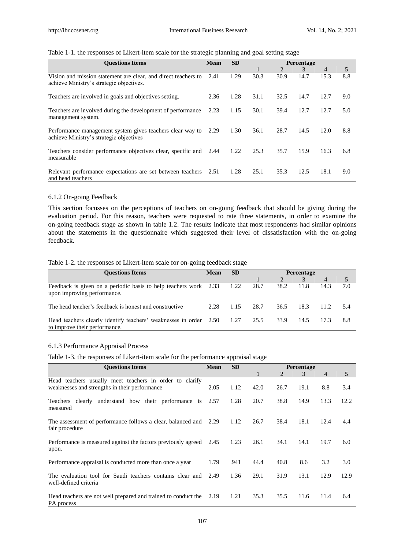| Table 1-1. the responses of Likert-item scale for the strategic planning and goal setting stage |  |  |
|-------------------------------------------------------------------------------------------------|--|--|
|                                                                                                 |  |  |

| <b>Ouestions Items</b>                                                                                     | <b>Mean</b> | <b>SD</b> | <b>Percentage</b> |      |               |      |     |
|------------------------------------------------------------------------------------------------------------|-------------|-----------|-------------------|------|---------------|------|-----|
|                                                                                                            |             |           |                   | 2    | $\mathcal{E}$ | 4    | 5   |
| Vision and mission statement are clear, and direct teachers to<br>achieve Ministry's strategic objectives. | 2.41        | 1.29      | 30.3              | 30.9 | 14.7          | 15.3 | 8.8 |
| Teachers are involved in goals and objectives setting.                                                     | 2.36        | 1.28      | 31.1              | 32.5 | 14.7          | 12.7 | 9.0 |
| Teachers are involved during the development of performance<br>management system.                          | 2.23        | 1.15      | 30.1              | 39.4 | 12.7          | 12.7 | 5.0 |
| Performance management system gives teachers clear way to<br>achieve Ministry's strategic objectives       | 2.29        | 1.30      | 36.1              | 28.7 | 14.5          | 12.0 | 8.8 |
| Teachers consider performance objectives clear, specific and 2.44<br>measurable                            |             | 1.22      | 25.3              | 35.7 | 15.9          | 16.3 | 6.8 |
| Relevant performance expectations are set between teachers 2.51<br>and head teachers                       |             | 1.28      | 25.1              | 35.3 | 12.5          | 18.1 | 9.0 |

## 6.1.2 On-going Feedback

This section focusses on the perceptions of teachers on on-going feedback that should be giving during the evaluation period. For this reason, teachers were requested to rate three statements, in order to examine the on-going feedback stage as shown in table 1.2. The results indicate that most respondents had similar opinions about the statements in the questionnaire which suggested their level of dissatisfaction with the on-going feedback.

#### Table 1-2. the responses of Likert-item scale for on-going feedback stage

| <b>Ouestions Items</b>                                                                             | <b>Mean</b> | <b>SD</b> | <b>Percentage</b> |               |      |       |       |
|----------------------------------------------------------------------------------------------------|-------------|-----------|-------------------|---------------|------|-------|-------|
|                                                                                                    |             |           |                   | $\mathcal{L}$ |      | 4     | 5     |
| Feedback is given on a periodic basis to help teachers work 2.33<br>upon improving performance.    |             | 1.22      | 28.7              | 38.2          | 11.8 | 14.3  | 7.0   |
| The head teacher's feedback is honest and constructive                                             | 2.28        | 1.15      | 28.7              | 36.5          | 18.3 | 11.2. | - 5.4 |
| Head teachers clearly identify teachers' weaknesses in order 2.50<br>to improve their performance. |             | 1.27      | 25.5              | 33.9          | 14.5 | 17.3  | 8.8   |

## 6.1.3 Performance Appraisal Process

Table 1-3. the responses of Likert-item scale for the performance appraisal stage

| <b>Ouestions Items</b>                                                                                   | <b>SD</b><br><b>Mean</b> |      | <b>Percentage</b> |      |      |                |      |
|----------------------------------------------------------------------------------------------------------|--------------------------|------|-------------------|------|------|----------------|------|
|                                                                                                          |                          |      | $\mathbf{1}$      | 2    | 3    | $\overline{4}$ | 5    |
| Head teachers usually meet teachers in order to clarify<br>weaknesses and strengths in their performance | 2.05                     | 1.12 | 42.0              | 26.7 | 19.1 | 8.8            | 3.4  |
| clearly understand how their performance is<br>Teachers<br>measured                                      | 2.57                     | 1.28 | 20.7              | 38.8 | 14.9 | 13.3           | 12.2 |
| The assessment of performance follows a clear, balanced and<br>fair procedure                            | 2.29                     | 1.12 | 26.7              | 38.4 | 18.1 | 12.4           | 4.4  |
| Performance is measured against the factors previously agreed 2.45<br>upon.                              |                          | 1.23 | 26.1              | 34.1 | 14.1 | 19.7           | 6.0  |
| Performance appraisal is conducted more than once a year                                                 | 1.79                     | .941 | 44.4              | 40.8 | 8.6  | 3.2            | 3.0  |
| The evaluation tool for Saudi teachers contains clear and<br>well-defined criteria                       | 2.49                     | 1.36 | 29.1              | 31.9 | 13.1 | 12.9           | 12.9 |
| Head teachers are not well prepared and trained to conduct the 2.19<br>PA process                        |                          | 1.21 | 35.3              | 35.5 | 11.6 | 11.4           | 6.4  |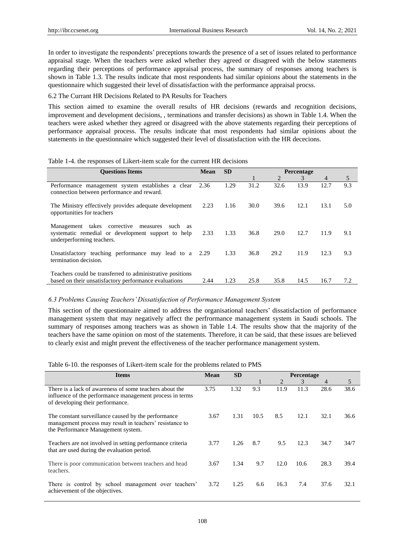In order to investigate the respondents' preceptions towards the presence of a set of issues related to performance appraisal stage. When the teachers were asked whether they agreed or disagreed with the below statements regarding their perceptions of performance appraisal process, the summary of responses among teachers is shown in Table 1.3. The results indicate that most respondents had similar opinions about the statements in the questionnaire which suggested their level of dissatisfaction with the performance appraisal procss.

## 6.2 The Currant HR Decisions Related to PA Results for Teachers

This section aimed to examine the overall results of HR decisions (rewards and recognition decisions, improvement and development decisions, , terminations and transfer decisions) as shown in Table 1.4. When the teachers were asked whether they agreed or disagreed with the above statements regarding their perceptions of performance appraisal process. The results indicate that most respondents had similar opinions about the statements in the questionnaire which suggested their level of dissatisfaction with the HR dececions.

# Table 1-4. the responses of Likert-item scale for the current HR decisions

| <b>Ouestions Items</b>                                                                                                             | <b>Mean</b> | <b>SD</b> | <b>Percentage</b> |      |      |                |     |
|------------------------------------------------------------------------------------------------------------------------------------|-------------|-----------|-------------------|------|------|----------------|-----|
|                                                                                                                                    |             |           |                   | 2    | 3    | $\overline{4}$ | 5   |
| Performance management system establishes a clear<br>connection between performance and reward.                                    | 2.36        | 1.29      | 31.2              | 32.6 | 13.9 | 12.7           | 9.3 |
| The Ministry effectively provides adequate development<br>opportunities for teachers                                               | 2.23        | 1.16      | 30.0              | 39.6 | 12.1 | 13.1           | 5.0 |
| Management takes corrective<br>measures such as<br>systematic remedial or development support to help<br>underperforming teachers. | 2.33        | 1.33      | 36.8              | 29.0 | 12.7 | 11.9           | 9.1 |
| Unsatisfactory teaching performance may lead to a 2.29<br>termination decision.                                                    |             | 1.33      | 36.8              | 29.2 | 11.9 | 12.3           | 9.3 |
| Teachers could be transferred to administrative positions<br>based on their unsatisfactory performance evaluations                 | 2.44        | 1.23      | 25.8              | 35.8 | 14.5 | 16.7           | 7.2 |

## *6.3 Problems Causing Teachers' Dissatisfaction of Performance Management System*

This section of the questionnaire aimed to address the organisational teachers' dissatisfaction of performance management system that may negatively affect the perfrormance management system in Saudi schools. The summary of responses among teachers was as shown in Table 1.4. The results show that the majority of the teachers have the same opinion on most of the statements. Therefore, it can be said, that these issues are believed to clearly exist and might prevent the effectiveness of the teacher performance management system.

|  |  |  | Table 6-10. the responses of Likert-item scale for the problems related to PMS |
|--|--|--|--------------------------------------------------------------------------------|
|--|--|--|--------------------------------------------------------------------------------|

| <b>Items</b>                                                                                                                                            | <b>Mean</b> | <b>SD</b> | <b>Percentage</b> |      |      |      |      |
|---------------------------------------------------------------------------------------------------------------------------------------------------------|-------------|-----------|-------------------|------|------|------|------|
|                                                                                                                                                         |             |           |                   | 2    | 3    | 4    | 5    |
| There is a lack of awareness of some teachers about the<br>influence of the performance management process in terms<br>of developing their performance. | 3.75        | 1.32      | 9.3               | 11.9 | 11.3 | 28.6 | 38.6 |
| The constant surveillance caused by the performance<br>management process may result in teachers' resistance to<br>the Performance Management system.   | 3.67        | 1.31      | 10.5              | 8.5  | 12.1 | 32.1 | 36.6 |
| Teachers are not involved in setting performance criteria<br>that are used during the evaluation period.                                                | 3.77        | 1.26      | 8.7               | 9.5  | 12.3 | 34.7 | 34/7 |
| There is poor communication between teachers and head<br>teachers.                                                                                      | 3.67        | 1.34      | 9.7               | 12.0 | 10.6 | 28.3 | 39.4 |
| There is control by school management over teachers'<br>achievement of the objectives.                                                                  | 3.72        | 1.25      | 6.6               | 16.3 | 7.4  | 37.6 | 32.1 |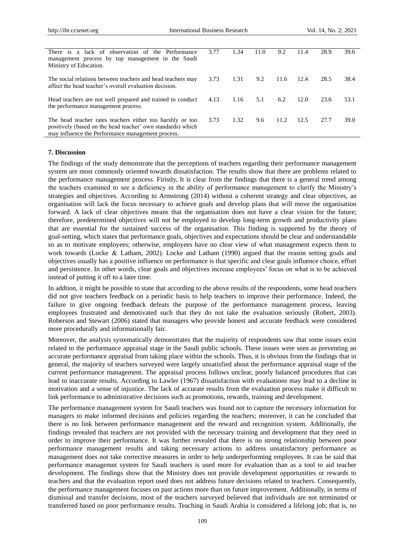| There is a lack of observation of the Performance<br>management process by top management in the Saudi<br>Ministry of Education.                                              | 3.77 | 1.34 | 11.0 | 9.2  | 11.4 | 28.9 | 39.6 |
|-------------------------------------------------------------------------------------------------------------------------------------------------------------------------------|------|------|------|------|------|------|------|
| The social relations between teachers and head teachers may<br>affect the head teacher's overall evaluation decision.                                                         | 3.73 | 1.31 | 9.2  | 11.6 | 12.4 | 28.5 | 38.4 |
| Head teachers are not well prepared and trained to conduct<br>the performance management process.                                                                             | 4.13 | 1.16 | 5.1  | 6.2  | 12.0 | 23.6 | 53.1 |
| The head teacher rates teachers either too harshly or too<br>positively (based on the head teacher' own standards) which<br>may influence the Performance management process. | 3.73 | 1.32 | 9.6  | 11.2 | 12.5 | 27.7 | 39.0 |

## **7. Discussion**

The findings of the study demonstrate that the perceptions of teachers regarding their performance management system are most commonly oriented towards dissatisfaction. The results show that there are problems related to the performance management process. Firistly, It is clear from the findings that there is a general trend among the teachers examined to see a deficiency in the ability of performance management to clarify the Ministry's strategies and objectives. According to Armstrong (2014) without a coherent strategy and clear objectives, an organisation will lack the focus necessary to achieve goals and develop plans that will move the organisation forward. A lack of clear objectives means that the organisation does not have a clear vision for the future; therefore, predetermined objectives will not be employed to develop long-term growth and productivity plans that are essential for the sustained success of the organisation. This finding is supported by the theory of goal-setting, which states that performance goals, objectives and expectations should be clear and understandable so as to motivate employees; otherwise, employees have no clear view of what management expects them to work towards (Locke & Latham, 2002). Locke and Latham (1990) argued that the reason setting goals and objectives usually has a positive influence on performance is that specific and clear goals influence choice, effort and persistence. In other words, clear goals and objectives increase employees' focus on what is to be achieved instead of putting it off to a later time.

In addtion, it might be possible to state that according to the above results of the respondents, some head teachers did not give teachers feedback on a periodic basis to help teachers to improve their performance. Indeed, the failure to give ongoing feedback defeats the purpose of the performance management process, leaving employees frustrated and demotivated such that they do not take the evaluation seriously (Robert, 2003). Roberson and Stewart (2006) stated that managers who provide honest and accurate feedback were considered more procedurally and informationally fair.

Moreover, the analysis systematically demonstrates that the majority of respondents saw that some issues exist related to the performance appraisal stage in the Saudi public schools. These issues were seen as preventing an accurate performance appraisal from taking place within the schools. Thus, it is obvious from the findings that in general, the majority of teachers surveyed were largely unsatisfied about the performance appraisal stage of the current performance management. The appraisal process follows unclear, poorly balanced procedures that can lead to inaccurate results. According to Lawler (1967) dissatisfaction with evaluations may lead to a decline in motivation and a sense of injustice. The lack of accurate results from the evaluation process make it difficult to link performance to administrative decisions such as promotions, rewards, training and development.

The performance management system for Saudi teachers was found not to capture the necessary information for managers to make informed decisions and policies regarding the teachers; moreover, it can be concluded that there is no link between performance management and the reward and recognition system. Additionally, the findings revealed that teachers are not provided with the necessary training and development that they need in order to improve their performance. It was further revealed that there is no strong relationship between poor performance management results and taking necessary actions to address unsatisfactory performance as management does not take corrective measures in order to help underperforming employees. It can be said that performance managemnt system for Saudi teachers is used more for evaluation than as a tool to aid teacher development. The findings show that the Ministry does not provide development opportunities or rewards to teachers and that the evaluation report used does not address future decisions related to teachers. Consequently, the performance management focuses on past actions more than on future improvement. Additionally, in terms of dismissal and transfer decisions, most of the teachers surveyed believed that individuals are not terminated or transferred based on poor performance results. Teaching in Saudi Arabia is considered a lifelong job; that is, no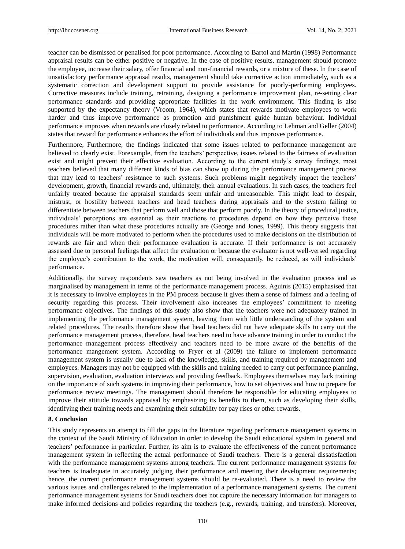teacher can be dismissed or penalised for poor performance. According to Bartol and Martin (1998) Performance appraisal results can be either positive or negative. In the case of positive results, management should promote the employee, increase their salary, offer financial and non-financial rewards, or a mixture of these. In the case of unsatisfactory performance appraisal results, management should take corrective action immediately, such as a systematic correction and development support to provide assistance for poorly-performing employees. Corrective measures include training, retraining, designing a performance improvement plan, re-setting clear performance standards and providing appropriate facilities in the work environment. This finding is also supported by the expectancy theory (Vroom, 1964), which states that rewards motivate employees to work harder and thus improve performance as promotion and punishment guide human behaviour. Individual performance improves when rewards are closely related to performance. According to Lehman and Geller (2004) states that reward for performance enhances the effort of individuals and thus improves performance.

Furthermore, Furthermore, the findings indicated that some issues related to performance management are believed to clearly exist. Forexample, from the teachers' perspective, issues related to the fairness of evaluation exist and might prevent their effective evaluation. According to the current study's survey findings, most teachers believed that many different kinds of bias can show up during the performance management process that may lead to teachers' resistance to such systems. Such problems might negatively impact the teachers' development, growth, financial rewards and, ultimately, their annual evaluations. In such cases, the teachers feel unfairly treated because the appraisal standards seem unfair and unreasonable. This might lead to despair, mistrust, or hostility between teachers and head teachers during appraisals and to the system failing to differentiate between teachers that perform well and those that perform poorly. In the theory of procedural justice, individuals' perceptions are essential as their reactions to procedures depend on how they perceive these procedures rather than what these procedures actually are (George and Jones, 1999). This theory suggests that individuals will be more motivated to perform when the procedures used to make decisions on the distribution of rewards are fair and when their performance evaluation is accurate. If their performance is not accurately assessed due to personal feelings that affect the evaluation or because the evaluator is not well-versed regarding the employee's contribution to the work, the motivation will, consequently, be reduced, as will individuals' performance.

Additionally, the survey respondents saw teachers as not being involved in the evaluation process and as marginalised by management in terms of the performance management process. Aguinis (2015) emphasised that it is necessary to involve employees in the PM process because it gives them a sense of fairness and a feeling of security regarding this process. Their involvement also increases the employees' commitment to meeting performance objectives. The findings of this study also show that the teachers were not adequately trained in implementing the performance management system, leaving them with little understanding of the system and related procedures. The results therefore show that head teachers did not have adequate skills to carry out the performance management process, therefore, head teachers need to have advance training in order to conduct the performance management process effectively and teachers need to be more aware of the benefits of the performance mangement system. According to Fryer et al (2009) the failure to implement performance management system is usually due to lack of the knowledge, skills, and training required by management and employees. Managers may not be equipped with the skills and training needed to carry out performance planning, supervision, evaluation, evaluation interviews and providing feedback. Employees themselves may lack training on the importance of such systems in improving their performance, how to set objectives and how to prepare for performance review meetings. The management should therefore be responsible for educating employees to improve their attitude towards appraisal by emphasizing its benefits to them, such as developing their skills, identifying their training needs and examining their suitability for pay rises or other rewards.

## **8. Conclusion**

This study represents an attempt to fill the gaps in the literature regarding performance management systems in the context of the Saudi Ministry of Education in order to develop the Saudi educational system in general and teachers' performance in particular. Further, its aim is to evaluate the effectiveness of the current performance management system in reflecting the actual performance of Saudi teachers. There is a general dissatisfaction with the performance management systems among teachers. The current performance management systems for teachers is inadequate in accurately judging their performance and meeting their development requirements; hence, the current performance management systems should be re-evaluated. There is a need to review the various issues and challenges related to the implementation of a performance management systems. The current performance management systems for Saudi teachers does not capture the necessary information for managers to make informed decisions and policies regarding the teachers (e.g., rewards, training, and transfers). Moreover,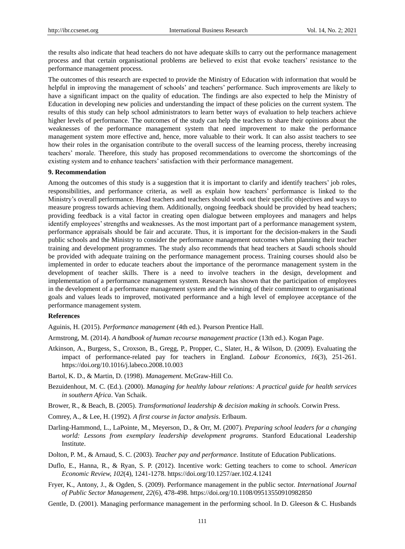the results also indicate that head teachers do not have adequate skills to carry out the performance management process and that certain organisational problems are believed to exist that evoke teachers' resistance to the performance management process.

The outcomes of this research are expected to provide the Ministry of Education with information that would be helpful in improving the management of schools' and teachers' performance. Such improvements are likely to have a significant impact on the quality of education. The findings are also expected to help the Ministry of Education in developing new policies and understanding the impact of these policies on the current system. The results of this study can help school administrators to learn better ways of evaluation to help teachers achieve higher levels of performance. The outcomes of the study can help the teachers to share their opinions about the weaknesses of the performance management system that need improvement to make the performance management system more effective and, hence, more valuable to their work. It can also assist teachers to see how their roles in the organisation contribute to the overall success of the learning process, thereby increasing teachers' morale. Therefore, this study has proposed recommendations to overcome the shortcomings of the existing system and to enhance teachers' satisfaction with their performance management.

#### **9. Recommendation**

Among the outcomes of this study is a suggestion that it is important to clarify and identify teachers' job roles, responsibilities, and performance criteria, as well as explain how teachers' performance is linked to the Ministry's overall performance. Head teachers and teachers should work out their specific objectives and ways to measure progress towards achieving them. Additionally, ongoing feedback should be provided by head teachers; providing feedback is a vital factor in creating open dialogue between employees and managers and helps identify employees' strengths and weaknesses. As the most important part of a performance management system, performance appraisals should be fair and accurate. Thus, it is important for the decision-makers in the Saudi public schools and the Ministry to consider the performance management outcomes when planning their teacher training and development programmes. The study also recommends that head teachers at Saudi schools should be provided with adequate training on the performance management process. Training courses should also be implemented in order to educate teachers about the importance of the perormance management system in the development of teacher skills. There is a need to involve teachers in the design, development and implementation of a performance management system. Research has shown that the participation of employees in the development of a performance management system and the winning of their commitment to organisational goals and values leads to improved, motivated performance and a high level of employee acceptance of the performance management system.

#### **References**

Aguinis, H. (2015). *Performance management* (4th ed.). Pearson Prentice Hall.

- Armstrong, M. (2014). *A handbook of human recourse management practice* (13th ed.). Kogan Page.
- Atkinson, A., Burgess, S., Croxson, B., Gregg, P., Propper, C., Slater, H., & Wilson, D. (2009). Evaluating the impact of performance-related pay for teachers in England. *Labour Economics, 16*(3), 251-261. https://doi.org/10.1016/j.labeco.2008.10.003
- Bartol, K. D., & Martin, D. (1998). *Management*. McGraw-Hill Co.
- Bezuidenhout, M. C. (Ed.). (2000). *Managing for healthy labour relations: A practical guide for health services in southern Africa*. Van Schaik.
- Brower, R., & Beach, B. (2005). *Transformational leadership & decision making in schools.* Corwin Press.
- Comrey, A., & Lee, H. (1992). *A first course in factor analysis*. Erlbaum.
- Darling-Hammond, L., LaPointe, M., Meyerson, D., & Orr, M. (2007). *Preparing school leaders for a changing world: Lessons from exemplary leadership development programs*. Stanford Educational Leadership Institute.
- Dolton, P. M., & Arnaud, S. C. (2003). *Teacher pay and performance*. Institute of Education Publications.
- Duflo, E., Hanna, R., & Ryan, S. P. (2012). Incentive work: Getting teachers to come to school. *American Economic Review, 102*(4), 1241-1278. https://doi.org/10.1257/aer.102.4.1241
- Fryer, K., Antony, J., & Ogden, S. (2009). Performance management in the public sector. *International Journal of Public Sector Management, 22*(6), 478-498. https://doi.org/10.1108/09513550910982850
- Gentle, D. (2001). Managing performance management in the performing school. In D. Gleeson & C. Husbands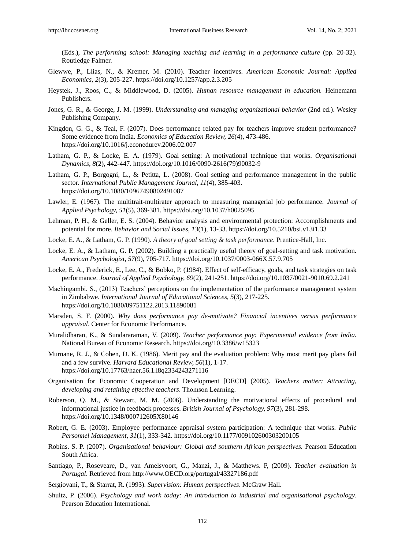(Eds.), *The performing school: Managing teaching and learning in a performance culture* (pp. 20-32). Routledge Falmer.

- Glewwe, P., Llias, N., & Kremer, M. (2010). Teacher incentives. *American Economic Journal: Applied Economics, 2*(3), 205-227. https://doi.org/10.1257/app.2.3.205
- Heystek, J., Roos, C., & Middlewood, D. (2005). *Human resource management in education.* Heinemann Publishers.
- Jones, G. R., & George, J. M. (1999). *Understanding and managing organizational behavior* (2nd ed.). Wesley Publishing Company.
- Kingdon, G. G., & Teal, F. (2007). Does performance related pay for teachers improve student performance? Some evidence from India. *Economics of Education Review, 26*(4), 473-486. https://doi.org/10.1016/j.econedurev.2006.02.007
- Latham, G. P., & Locke, E. A. (1979). Goal setting: A motivational technique that works. *Organisational Dynamics, 8*(2), 442-447. https://doi.org/10.1016/0090-2616(79)90032-9
- Latham, G. P., Borgogni, L., & Petitta, L. (2008). Goal setting and performance management in the public sector*. International Public Management Journal, 11*(4), 385-403. https://doi.org/10.1080/10967490802491087
- Lawler, E. (1967). The multitrait-multirater approach to measuring managerial job performance. *Journal of Applied Psychology, 51*(5), 369-381. https://doi.org/10.1037/h0025095
- Lehman, P. H., & Geller, E. S. (2004). Behavior analysis and environmental protection: Accomplishments and potential for more. *Behavior and Social Issues, 13*(1), 13-33. https://doi.org/10.5210/bsi.v13i1.33
- Locke, E. A., & Latham, G. P. (1990). *A theory of goal setting & task performance*. Prentice-Hall, Inc.
- Locke, E. A., & Latham, G. P. (2002). Building a practically useful theory of goal-setting and task motivation*. American Psychologist, 57*(9), 705-717. https://doi.org/10.1037/0003-066X.57.9.705
- Locke, E. A., Frederick, E., Lee, C., & Bobko, P. (1984). Effect of self-efficacy, goals, and task strategies on task performance. *Journal of Applied Psychology, 69*(2), 241-251. https://doi.org/10.1037/0021-9010.69.2.241
- Machingambi, S., (2013) Teachers' perceptions on the implementation of the performance management system in Zimbabwe. *International Journal of Educational Sciences, 5*(3), 217-225. https://doi.org/10.1080/09751122.2013.11890081
- Marsden, S. F. (2000). *Why does performance pay de-motivate? Financial incentives versus performance appraisal*. Center for Economic Performance.
- Muralidharan, K., & Sundararaman, V. (2009). *Teacher performance pay: Experimental evidence from India.*  National Bureau of Economic Research. https://doi.org/10.3386/w15323
- Murnane, R. J., & Cohen, D. K. (1986). Merit pay and the evaluation problem: Why most merit pay plans fail and a few survive. *Harvard Educational Review, 56*(1), 1-17. https://doi.org/10.17763/haer.56.1.l8q2334243271116
- Organisation for Economic Cooperation and Development [OECD] (2005). *Teachers matter: Attracting, developing and retaining effective teachers*. Thomson Learning.
- Roberson, Q. M., & Stewart, M. M. (2006). Understanding the motivational effects of procedural and informational justice in feedback processes. *British Journal of Psychology, 97*(3), 281-298. https://doi.org/10.1348/000712605X80146
- Robert, G. E. (2003). Employee performance appraisal system participation: A technique that works. *Public Personnel Management, 31*(1), 333-342. https://doi.org/10.1177/009102600303200105
- Robins. S. P. (2007). *Organisational behaviour: Global and southern African perspectives.* Pearson Education South Africa.
- Santiago, P., Roseveare, D., van Amelsvoort, G., Manzi, J., & Matthews. P, (2009). *Teacher evaluation in Portugal*. Retrieved from http://www.OECD.org/portugal/43327186.pdf
- Sergiovani, T., & Starrat, R. (1993). *Supervision: Human perspectives*. McGraw Hall.
- Shultz, P. (2006). *Psychology and work today: An introduction to industrial and organisational psychology*. Pearson Education International.